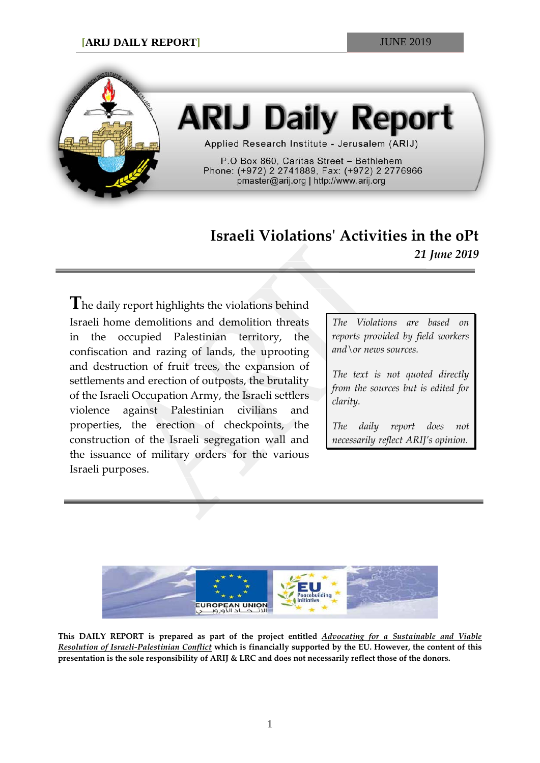

# **ARIJ Daily Report**

Applied Research Institute - Jerusalem (ARIJ)

P.O Box 860, Caritas Street - Bethlehem Phone: (+972) 2 2741889, Fax: (+972) 2 2776966 pmaster@arij.org | http://www.arij.org

## **Israeli Violations' Activities in the oPt** *21 June 2019*

**T**he daily report highlights the violations behind Israeli home demolitions and demolition threats in the occupied Palestinian territory, the confiscation and razing of lands, the uprooting and destruction of fruit trees, the expansion of settlements and erection of outposts, the brutality of the Israeli Occupation Army, the Israeli settlers violence against Palestinian civilians and properties, the erection of checkpoints, the construction of the Israeli segregation wall and the issuance of military orders for the various Israeli purposes.

*The Violations are based on reports provided by field workers and\or news sources.*

*The text is not quoted directly from the sources but is edited for clarity.*

*The daily report does not necessarily reflect ARIJ's opinion.*



**This DAILY REPORT is prepared as part of the project entitled** *Advocating for a Sustainable and Viable Resolution of Israeli-Palestinian Conflict* **which is financially supported by the EU. However, the content of this presentation is the sole responsibility of ARIJ & LRC and does not necessarily reflect those of the donors.**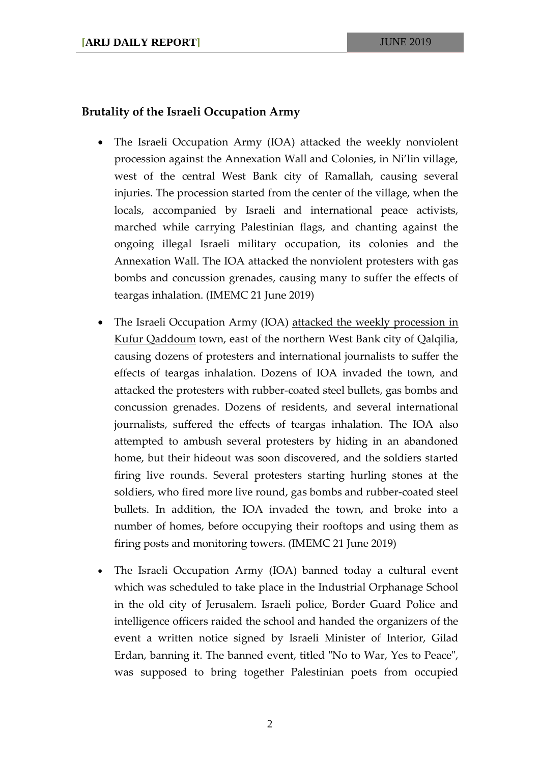### **Brutality of the Israeli Occupation Army**

- The Israeli Occupation Army (IOA) attacked the weekly nonviolent procession against the Annexation Wall and Colonies, in Ni'lin village, west of the central West Bank city of Ramallah, causing several injuries. The procession started from the center of the village, when the locals, accompanied by Israeli and international peace activists, marched while carrying Palestinian flags, and chanting against the ongoing illegal Israeli military occupation, its colonies and the Annexation Wall. The IOA attacked the nonviolent protesters with gas bombs and concussion grenades, causing many to suffer the effects of teargas inhalation. (IMEMC 21 June 2019)
- The Israeli Occupation Army (IOA) attacked the weekly procession in [Kufur Qaddoum](https://imemc.org/article/army-injures-many-palestinians-in-kufur-qaddoum-5/) town, east of the northern West Bank city of Qalqilia, causing dozens of protesters and international journalists to suffer the effects of teargas inhalation. Dozens of IOA invaded the town, and attacked the protesters with rubber-coated steel bullets, gas bombs and concussion grenades. Dozens of residents, and several international journalists, suffered the effects of teargas inhalation. The IOA also attempted to ambush several protesters by hiding in an abandoned home, but their hideout was soon discovered, and the soldiers started firing live rounds. Several protesters starting hurling stones at the soldiers, who fired more live round, gas bombs and rubber-coated steel bullets. In addition, the IOA invaded the town, and broke into a number of homes, before occupying their rooftops and using them as firing posts and monitoring towers. (IMEMC 21 June 2019)
- The Israeli Occupation Army (IOA) banned today a cultural event which was scheduled to take place in the Industrial Orphanage School in the old city of Jerusalem. Israeli police, Border Guard Police and intelligence officers raided the school and handed the organizers of the event a written notice signed by Israeli Minister of Interior, Gilad Erdan, banning it. The banned event, titled "No to War, Yes to Peace", was supposed to bring together Palestinian poets from occupied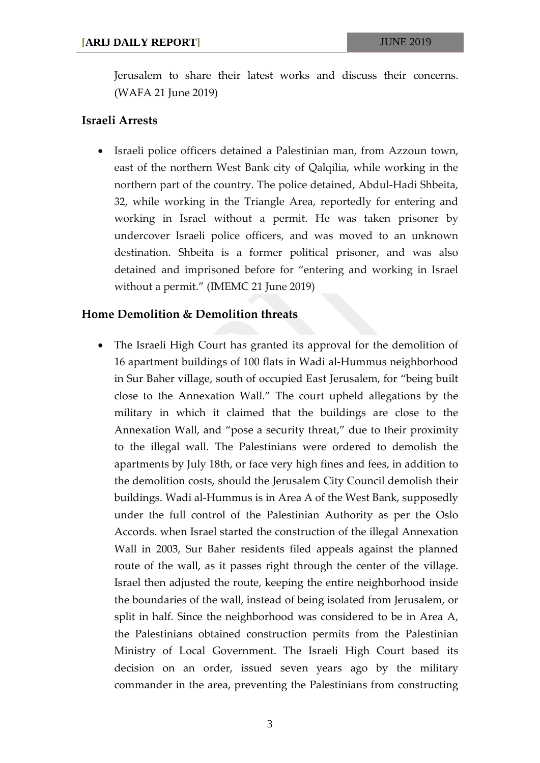Jerusalem to share their latest works and discuss their concerns. (WAFA 21 June 2019)

#### **Israeli Arrests**

• Israeli police officers detained a Palestinian man, from Azzoun town, east of the northern West Bank city of Qalqilia, while working in the northern part of the country. The police detained, Abdul-Hadi Shbeita, 32, while working in the Triangle Area, reportedly for entering and working in Israel without a permit. He was taken prisoner by undercover Israeli police officers, and was moved to an unknown destination. Shbeita is a former political prisoner, and was also detained and imprisoned before for "entering and working in Israel without a permit." (IMEMC 21 June 2019)

#### **Home Demolition & Demolition threats**

• The Israeli High Court has granted its approval for the demolition of 16 apartment buildings of 100 flats in Wadi al-Hummus neighborhood in Sur Baher village, south of occupied East Jerusalem, for "being built close to the Annexation Wall." The court upheld allegations by the military in which it claimed that the buildings are close to the Annexation Wall, and "pose a security threat," due to their proximity to the illegal wall. The Palestinians were ordered to demolish the apartments by July 18th, or face very high fines and fees, in addition to the demolition costs, should the Jerusalem City Council demolish their buildings. Wadi al-Hummus is in Area A of the West Bank, supposedly under the full control of the Palestinian Authority as per the Oslo Accords. when Israel started the construction of the illegal Annexation Wall in 2003, Sur Baher residents filed appeals against the planned route of the wall, as it passes right through the center of the village. Israel then adjusted the route, keeping the entire neighborhood inside the boundaries of the wall, instead of being isolated from Jerusalem, or split in half. Since the neighborhood was considered to be in Area A, the Palestinians obtained construction permits from the Palestinian Ministry of Local Government. The Israeli High Court based its decision on an order, issued seven years ago by the military commander in the area, preventing the Palestinians from constructing